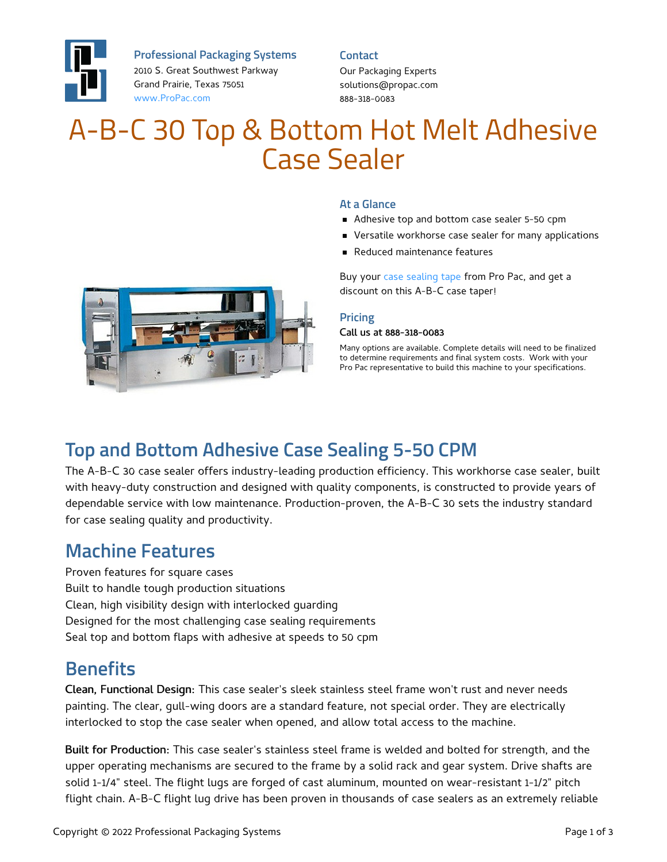

**Professional Packaging Systems**

2010 S. Great Southwest Parkway Grand Prairie, Texas 75051 [www.ProPac.com](https://www.propac.com/)

**Contact**

Our Packaging Experts solutions@propac.com 888-318-0083

# A-B-C 30 Top & Bottom Hot Melt Adhesive Case Sealer



- Adhesive top and bottom case sealer 5-50 cpm
- **•** Versatile workhorse case sealer for many applications
- Reduced maintenance features

Buy your case [sealing](file:///packaging-materials/shurtape-case-sealing-tape/) tape from Pro Pac, and get a discount on this A-B-C case taper!

#### **Pricing**

#### Call us at 888-318-0083

Many options are available. Complete details will need to be finalized to determine requirements and final system costs. Work with your Pro Pac representative to build this machine to your specifications.



# **Top and Bottom Adhesive Case Sealing 5-50 CPM**

The A-B-C 30 case sealer offers industry-leading production efficiency. This workhorse case sealer, built with heavy-duty construction and designed with quality components, is constructed to provide years of dependable service with low maintenance. Production-proven, the A-B-C 30 sets the industry standard for case sealing quality and productivity.

### **Machine Features**

Proven features for square cases Built to handle tough production situations Clean, high visibility design with interlocked guarding Designed for the most challenging case sealing requirements Seal top and bottom flaps with adhesive at speeds to 50 cpm

### **Benefits**

Clean, Functional Design: This case sealer's sleek stainless steel frame won't rust and never needs painting. The clear, gull-wing doors are a standard feature, not special order. They are electrically interlocked to stop the case sealer when opened, and allow total access to the machine.

Built for Production: This case sealer's stainless steel frame is welded and bolted for strength, and the upper operating mechanisms are secured to the frame by a solid rack and gear system. Drive shafts are solid 1-1/4" steel. The flight lugs are forged of cast aluminum, mounted on wear-resistant 1-1/2" pitch flight chain. A-B-C flight lug drive has been proven in thousands of case sealers as an extremely reliable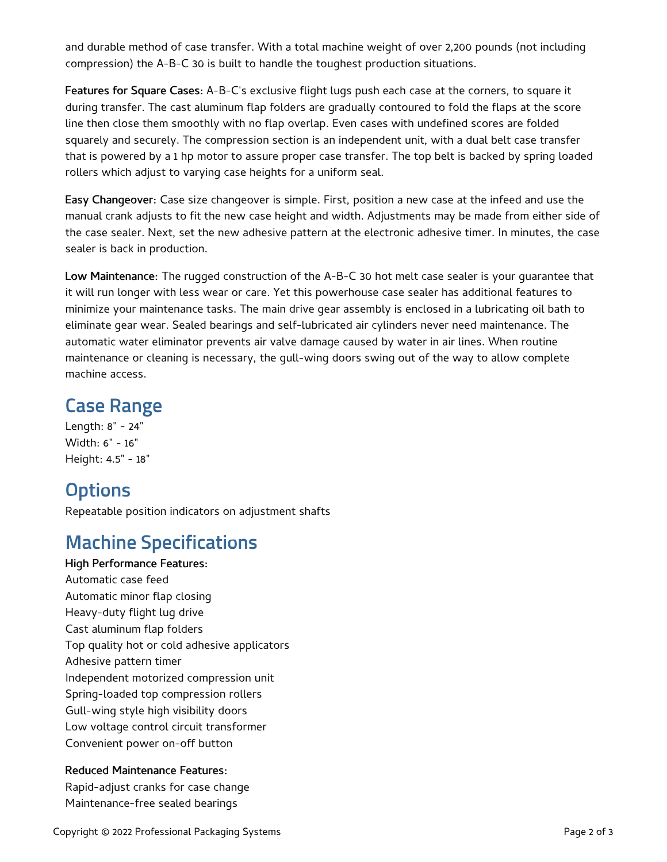and durable method of case transfer. With a total machine weight of over 2,200 pounds (not including compression) the A-B-C 30 is built to handle the toughest production situations.

Features for Square Cases: A-B-C's exclusive flight lugs push each case at the corners, to square it during transfer. The cast aluminum flap folders are gradually contoured to fold the flaps at the score line then close them smoothly with no flap overlap. Even cases with undefined scores are folded squarely and securely. The compression section is an independent unit, with a dual belt case transfer that is powered by a 1 hp motor to assure proper case transfer. The top belt is backed by spring loaded rollers which adjust to varying case heights for a uniform seal.

Easy Changeover: Case size changeover is simple. First, position a new case at the infeed and use the manual crank adjusts to fit the new case height and width. Adjustments may be made from either side of the case sealer. Next, set the new adhesive pattern at the electronic adhesive timer. In minutes, the case sealer is back in production.

Low Maintenance: The rugged construction of the A-B-C 30 hot melt case sealer is your guarantee that it will run longer with less wear or care. Yet this powerhouse case sealer has additional features to minimize your maintenance tasks. The main drive gear assembly is enclosed in a lubricating oil bath to eliminate gear wear. Sealed bearings and self-lubricated air cylinders never need maintenance. The automatic water eliminator prevents air valve damage caused by water in air lines. When routine maintenance or cleaning is necessary, the gull-wing doors swing out of the way to allow complete machine access.

### **Case Range**

Length: 8" - 24" Width: 6" - 16" Height: 4.5" - 18"

# **Options**

Repeatable position indicators on adjustment shafts

# **Machine Specifications**

High Performance Features: Automatic case feed Automatic minor flap closing Heavy-duty flight lug drive Cast aluminum flap folders Top quality hot or cold adhesive applicators Adhesive pattern timer Independent motorized compression unit Spring-loaded top compression rollers Gull-wing style high visibility doors Low voltage control circuit transformer Convenient power on-off button

### Reduced Maintenance Features:

Rapid-adjust cranks for case change Maintenance-free sealed bearings